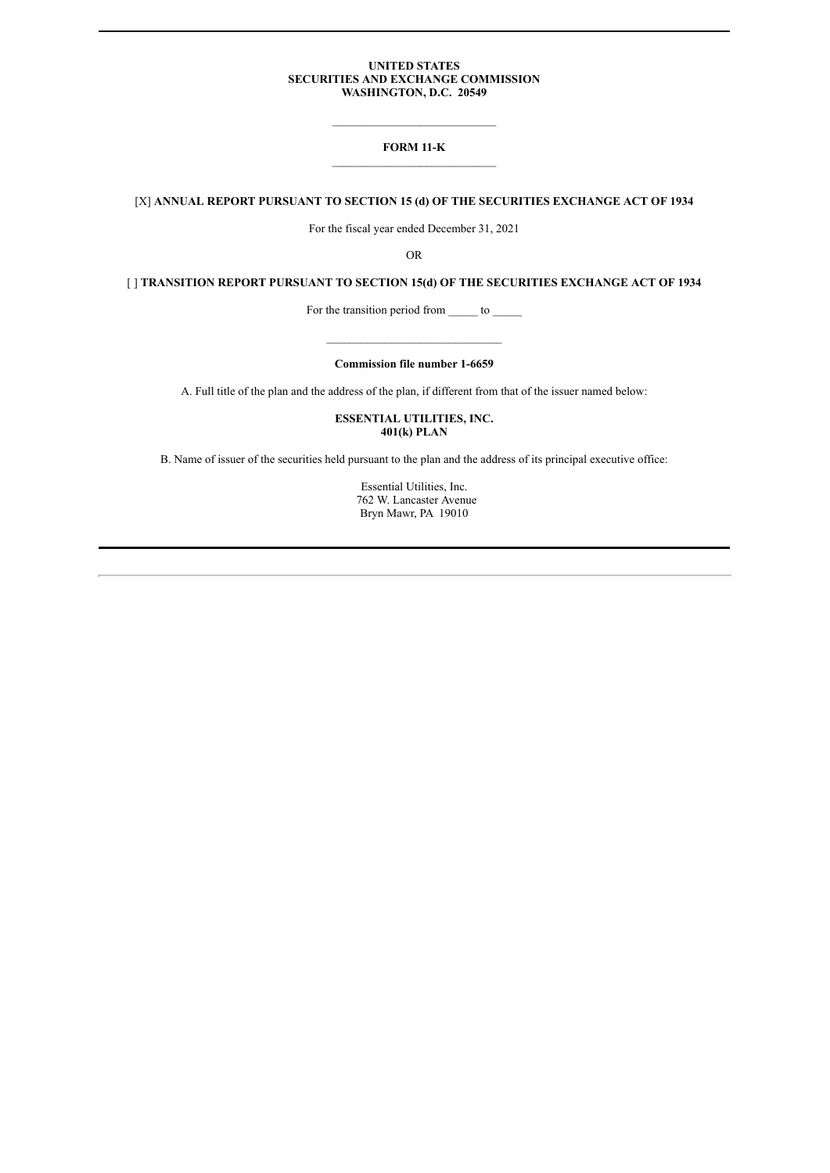### **UNITED STATES SECURITIES AND EXCHANGE COMMISSION WASHINGTON, D.C. 20549**

## **FORM 11-K**

[X] **ANNUAL REPORT PURSUANT TO SECTION 15 (d) OF THE SECURITIES EXCHANGE ACT OF 1934**

For the fiscal year ended December 31, 2021

OR

[ ] **TRANSITION REPORT PURSUANT TO SECTION 15(d) OF THE SECURITIES EXCHANGE ACT OF 1934**

For the transition period from \_\_\_\_\_\_ to \_\_\_\_\_\_

## **Commission file number 1-6659**

A. Full title of the plan and the address of the plan, if different from that of the issuer named below:

**ESSENTIAL UTILITIES, INC. 401(k) PLAN**

B. Name of issuer of the securities held pursuant to the plan and the address of its principal executive office:

Essential Utilities, Inc. 762 W. Lancaster Avenue Bryn Mawr, PA 19010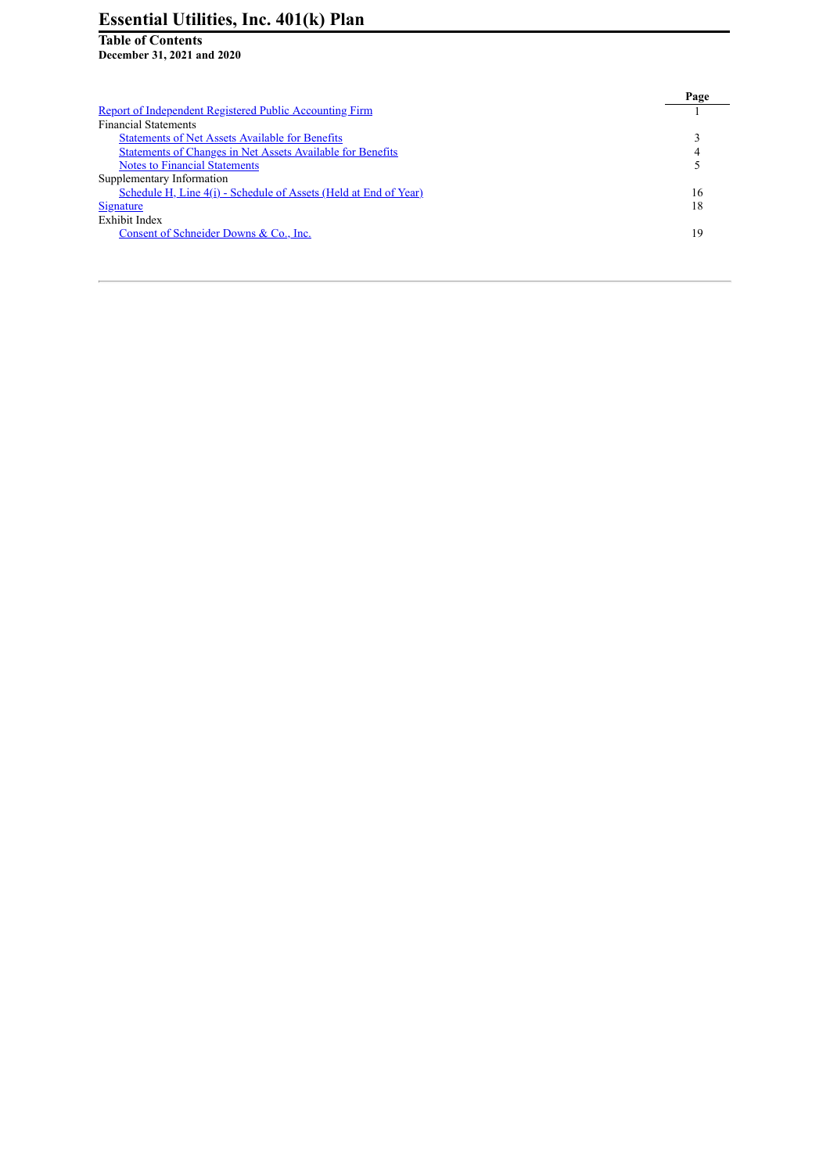**Table of Contents** December 31, 2021 and 2020

|                                                                  | Page |
|------------------------------------------------------------------|------|
| <b>Report of Independent Registered Public Accounting Firm</b>   |      |
| <b>Financial Statements</b>                                      |      |
| <b>Statements of Net Assets Available for Benefits</b>           |      |
| Statements of Changes in Net Assets Available for Benefits       |      |
| <b>Notes to Financial Statements</b>                             |      |
| Supplementary Information                                        |      |
| Schedule H, Line 4(i) - Schedule of Assets (Held at End of Year) | 16   |
| <b>Signature</b>                                                 | 18   |
| Exhibit Index                                                    |      |
| Consent of Schneider Downs & Co., Inc.                           | 19   |
|                                                                  |      |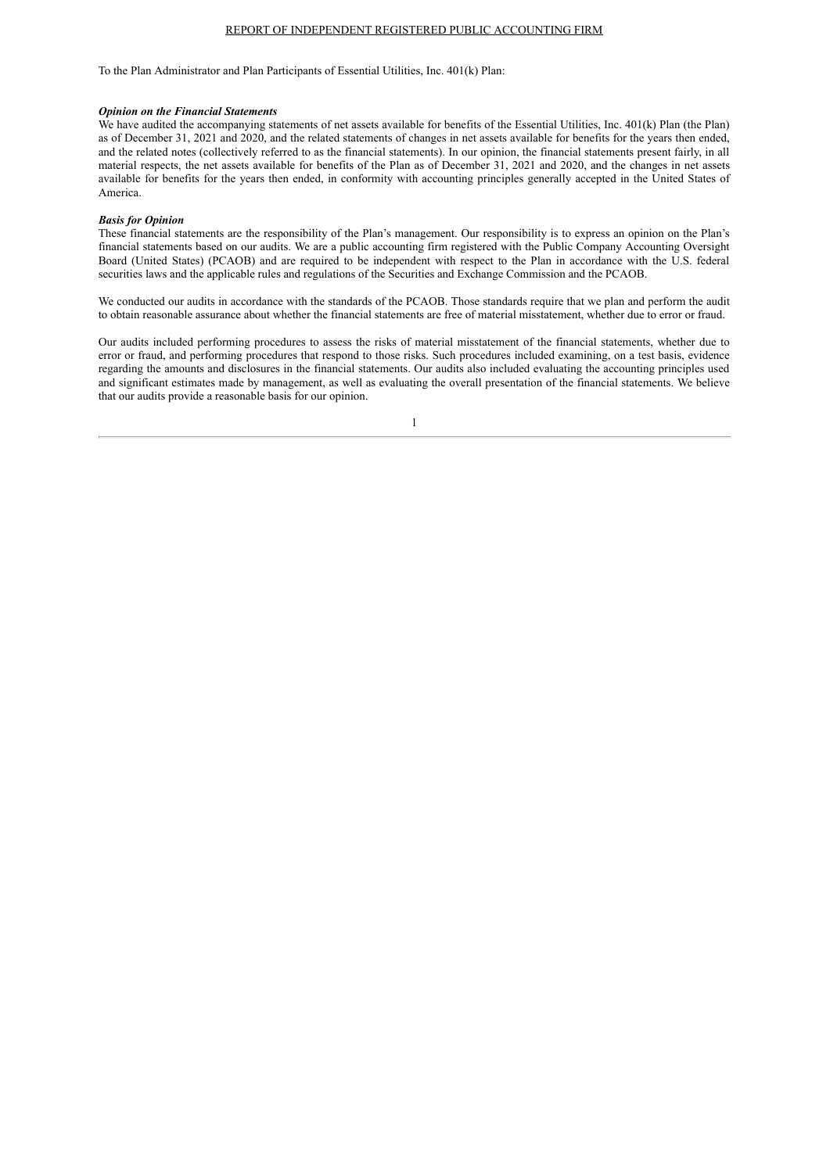## <span id="page-2-0"></span>REPORT OF INDEPENDENT REGISTERED PUBLIC ACCOUNTING FIRM

To the Plan Administrator and Plan Participants of Essential Utilities, Inc. 401(k) Plan:

#### *Opinion on the Financial Statements*

We have audited the accompanying statements of net assets available for benefits of the Essential Utilities, Inc. 401(k) Plan (the Plan) as of December 31, 2021 and 2020, and the related statements of changes in net assets available for benefits for the years then ended, and the related notes (collectively referred to as the financial statements). In our opinion, the financial statements present fairly, in all material respects, the net assets available for benefits of the Plan as of December 31, 2021 and 2020, and the changes in net assets available for benefits for the years then ended, in conformity with accounting principles generally accepted in the United States of America.

## *Basis for Opinion*

These financial statements are the responsibility of the Plan's management. Our responsibility is to express an opinion on the Plan's financial statements based on our audits. We are a public accounting firm registered with the Public Company Accounting Oversight Board (United States) (PCAOB) and are required to be independent with respect to the Plan in accordance with the U.S. federal securities laws and the applicable rules and regulations of the Securities and Exchange Commission and the PCAOB.

We conducted our audits in accordance with the standards of the PCAOB. Those standards require that we plan and perform the audit to obtain reasonable assurance about whether the financial statements are free of material misstatement, whether due to error or fraud.

Our audits included performing procedures to assess the risks of material misstatement of the financial statements, whether due to error or fraud, and performing procedures that respond to those risks. Such procedures included examining, on a test basis, evidence regarding the amounts and disclosures in the financial statements. Our audits also included evaluating the accounting principles used and significant estimates made by management, as well as evaluating the overall presentation of the financial statements. We believe that our audits provide a reasonable basis for our opinion.

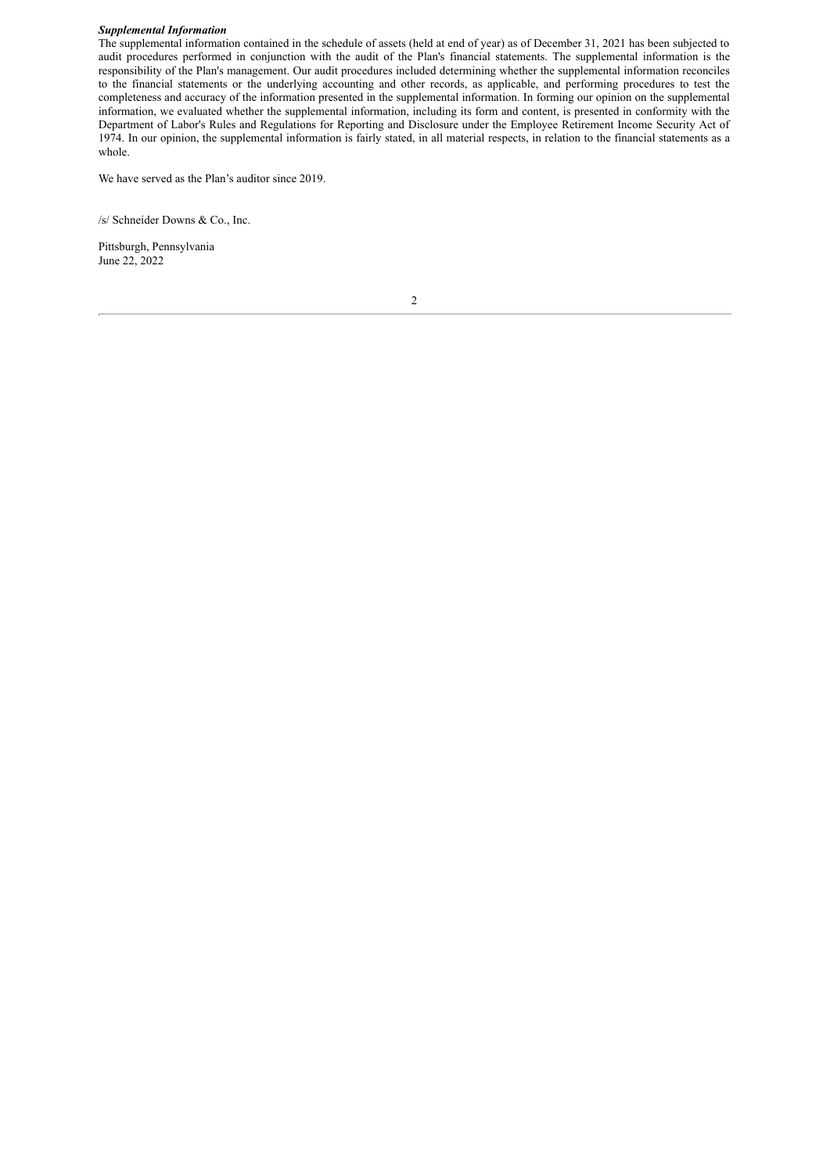#### *Supplemental Information*

The supplemental information contained in the schedule of assets (held at end of year) as of December 31, 2021 has been subjected to audit procedures performed in conjunction with the audit of the Plan's financial statements. The supplemental information is the responsibility of the Plan's management. Our audit procedures included determining whether the supplemental information reconciles to the financial statements or the underlying accounting and other records, as applicable, and performing procedures to test the completeness and accuracy of the information presented in the supplemental information. In forming our opinion on the supplemental information, we evaluated whether the supplemental information, including its form and content, is presented in conformity with the Department of Labor's Rules and Regulations for Reporting and Disclosure under the Employee Retirement Income Security Act of 1974. In our opinion, the supplemental information is fairly stated, in all material respects, in relation to the financial statements as a whole.

We have served as the Plan's auditor since 2019.

/s/ Schneider Downs & Co., Inc.

Pittsburgh, Pennsylvania June 22, 2022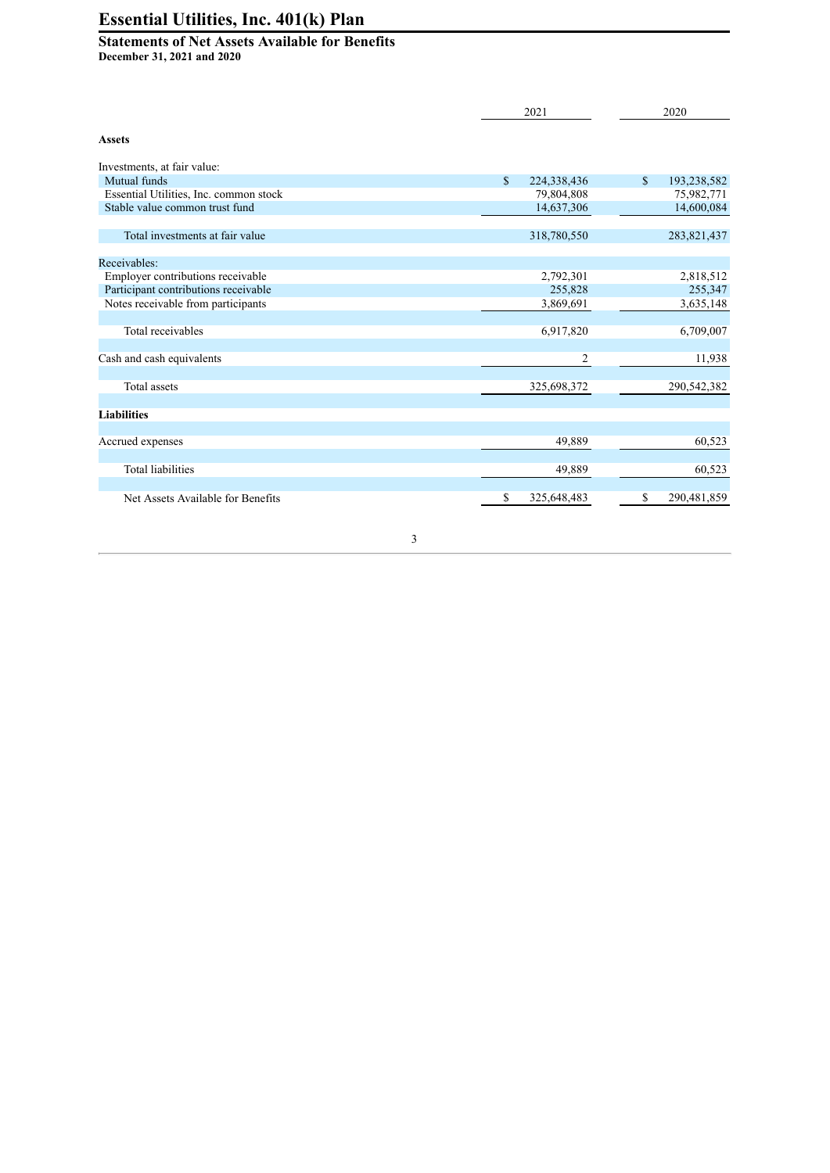<span id="page-4-0"></span>**Statements of Net Assets Available for Benefits December 31, 2021 and 2020**

2021 2020 **Assets** Investments, at fair value: \$ 224,338,436 \$ 193,238,582 Essential Utilities, Inc. common stock 79,804,808 75,982,771<br>Stable value common trust fund 14,607,306 14,607,306 14,600,084 Stable value common trust fund Total investments at fair value 318,780,550 283,821,437 Receivables: Employer contributions receivable 2,792,301 2,818,512<br>Participant contributions receivable 255,347 255,347 255,347 Participant contributions receivable<br>
Notes receivable from participants<br>
255,347<br>
255,347<br>
255,347<br>
255,347<br>
255,347<br>
255,347<br>
255,347<br>
255,347 Notes receivable from participants Total receivables 6,917,820 6,709,007 Cash and cash equivalents 2 11,938 Total assets 325,698,372 290,542,382 **Liabilities** Accrued expenses 60,523 **Later and Solution 2018 Leveland 2018 Leveland 2018 Leveland 2018 Leveland 2018 Leveland 2018 Leveland 2018 Leveland 2018 Leveland 2019 Leveland 2019 Leveland 2019 Leveland 20** Total liabilities 60,523 60,523 Net Assets Available for Benefits 8 325,648,483 \$ 290,481,859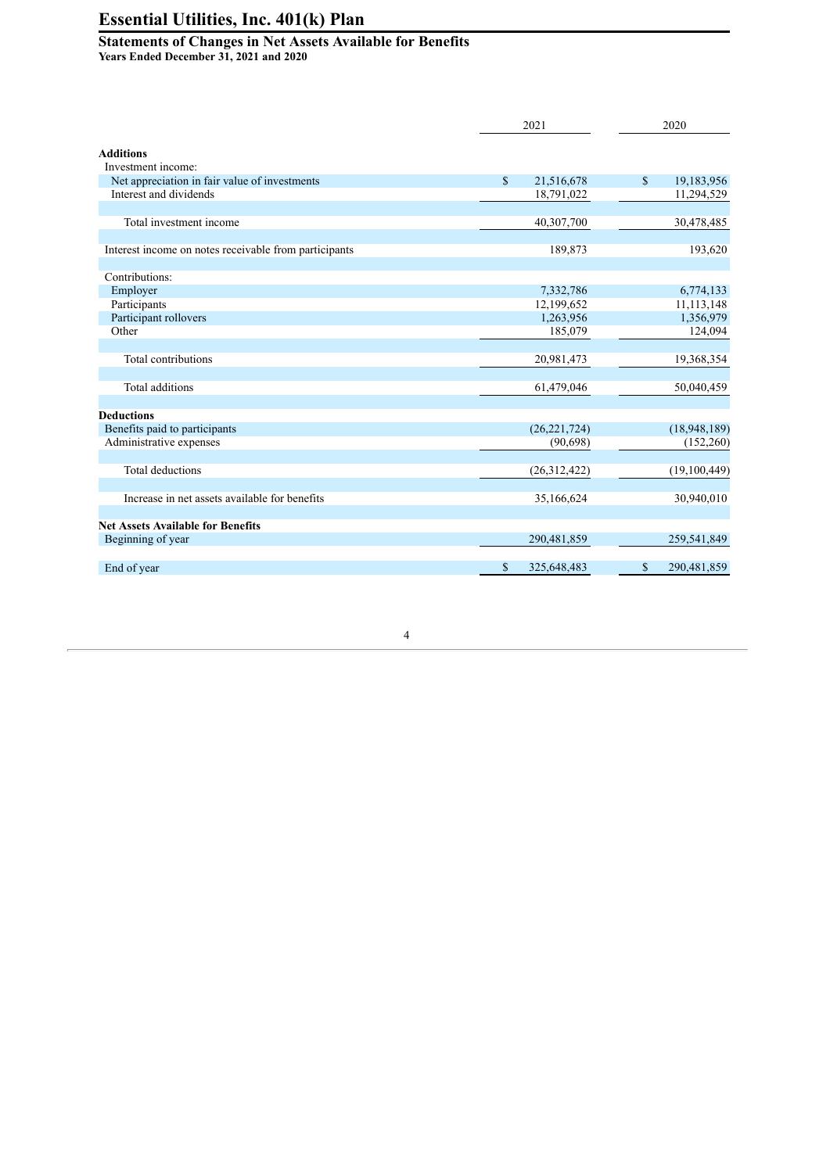## <span id="page-5-0"></span>**Statements of Changes in Net Assets Available for Benefits Years Ended December 31, 2021 and 2020**

|                                                       | 2021          |                | 2020 |              |
|-------------------------------------------------------|---------------|----------------|------|--------------|
| <b>Additions</b>                                      |               |                |      |              |
| Investment income:                                    |               |                |      |              |
| Net appreciation in fair value of investments         | $\mathsf{\$}$ | 21,516,678     | \$   | 19,183,956   |
| Interest and dividends                                |               | 18,791,022     |      | 11,294,529   |
|                                                       |               |                |      |              |
| Total investment income                               |               | 40,307,700     |      | 30,478,485   |
|                                                       |               |                |      |              |
| Interest income on notes receivable from participants |               | 189,873        |      | 193,620      |
|                                                       |               |                |      |              |
| Contributions:                                        |               |                |      |              |
| Employer                                              |               | 7,332,786      |      | 6,774,133    |
| Participants                                          |               | 12,199,652     |      | 11, 113, 148 |
| Participant rollovers                                 |               | 1,263,956      |      | 1,356,979    |
| Other                                                 |               | 185,079        |      | 124,094      |
|                                                       |               |                |      |              |
| Total contributions                                   |               | 20,981,473     |      | 19,368,354   |
|                                                       |               |                |      |              |
| Total additions                                       |               | 61,479,046     |      | 50,040,459   |
|                                                       |               |                |      |              |
| <b>Deductions</b>                                     |               |                |      |              |
| Benefits paid to participants                         |               | (26, 221, 724) |      | (18,948,189) |
| Administrative expenses                               |               | (90, 698)      |      | (152,260)    |
|                                                       |               |                |      |              |
| <b>Total deductions</b>                               |               | (26,312,422)   |      | (19,100,449) |
|                                                       |               |                |      |              |
| Increase in net assets available for benefits         |               | 35,166,624     |      | 30,940,010   |
|                                                       |               |                |      |              |
| <b>Net Assets Available for Benefits</b>              |               |                |      |              |
| Beginning of year                                     |               | 290,481,859    |      | 259,541,849  |
|                                                       |               |                |      |              |
| End of year                                           | \$            | 325,648,483    | \$   | 290,481,859  |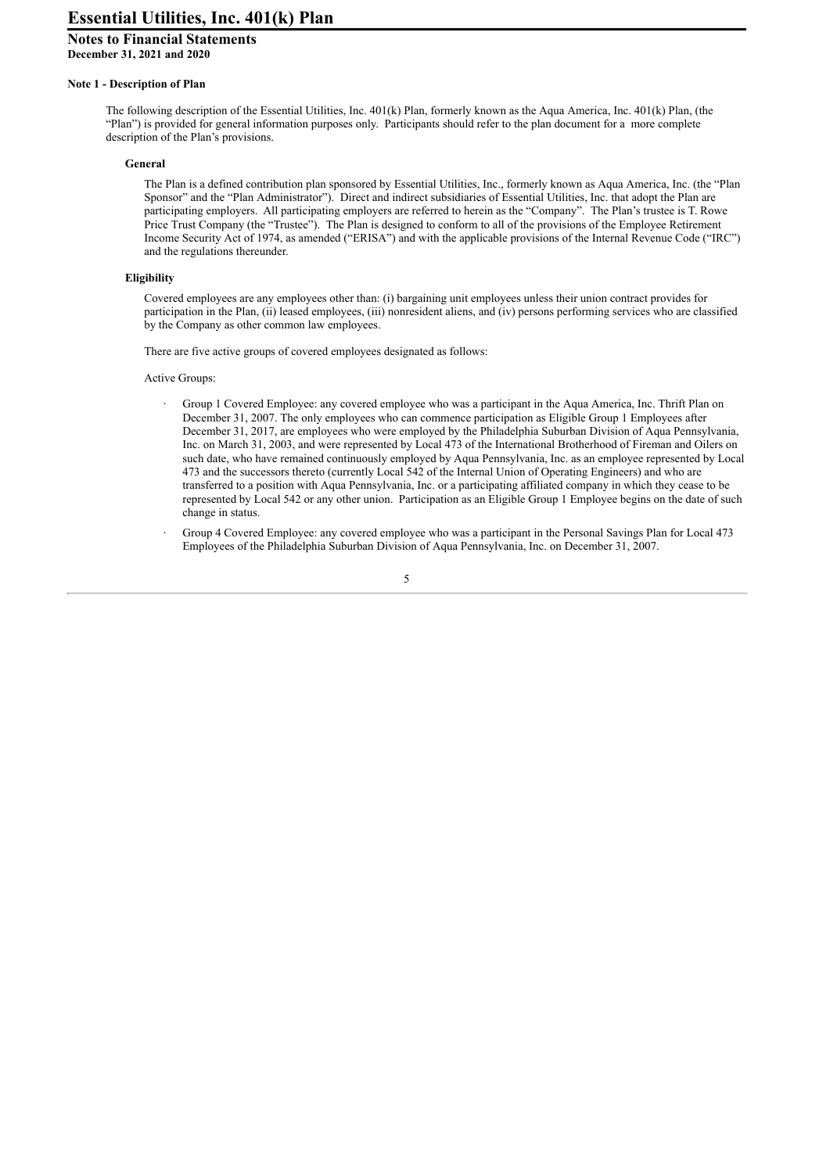**December 31, 2021 and 2020**

## **Note 1 - Description of Plan**

<span id="page-6-0"></span>The following description of the Essential Utilities, Inc. 401(k) Plan, formerly known as the Aqua America, Inc. 401(k) Plan, (the "Plan") is provided for general information purposes only. Participants should refer to the plan document for a more complete description of the Plan's provisions.

#### **General**

The Plan is a defined contribution plan sponsored by Essential Utilities, Inc., formerly known as Aqua America, Inc. (the "Plan Sponsor" and the "Plan Administrator"). Direct and indirect subsidiaries of Essential Utilities, Inc. that adopt the Plan are participating employers. All participating employers are referred to herein as the "Company". The Plan's trustee is T. Rowe Price Trust Company (the "Trustee"). The Plan is designed to conform to all of the provisions of the Employee Retirement Income Security Act of 1974, as amended ("ERISA") and with the applicable provisions of the Internal Revenue Code ("IRC") and the regulations thereunder.

#### **Eligibility**

Covered employees are any employees other than: (i) bargaining unit employees unless their union contract provides for participation in the Plan, (ii) leased employees, (iii) nonresident aliens, and (iv) persons performing services who are classified by the Company as other common law employees.

There are five active groups of covered employees designated as follows:

#### Active Groups:

- Group 1 Covered Employee: any covered employee who was a participant in the Aqua America, Inc. Thrift Plan on December 31, 2007. The only employees who can commence participation as Eligible Group 1 Employees after December 31, 2017, are employees who were employed by the Philadelphia Suburban Division of Aqua Pennsylvania, Inc. on March 31, 2003, and were represented by Local 473 of the International Brotherhood of Fireman and Oilers on such date, who have remained continuously employed by Aqua Pennsylvania, Inc. as an employee represented by Local 473 and the successors thereto (currently Local 542 of the Internal Union of Operating Engineers) and who are transferred to a position with Aqua Pennsylvania, Inc. or a participating affiliated company in which they cease to be represented by Local 542 or any other union. Participation as an Eligible Group 1 Employee begins on the date of such change in status.
- Group 4 Covered Employee: any covered employee who was a participant in the Personal Savings Plan for Local 473 Employees of the Philadelphia Suburban Division of Aqua Pennsylvania, Inc. on December 31, 2007.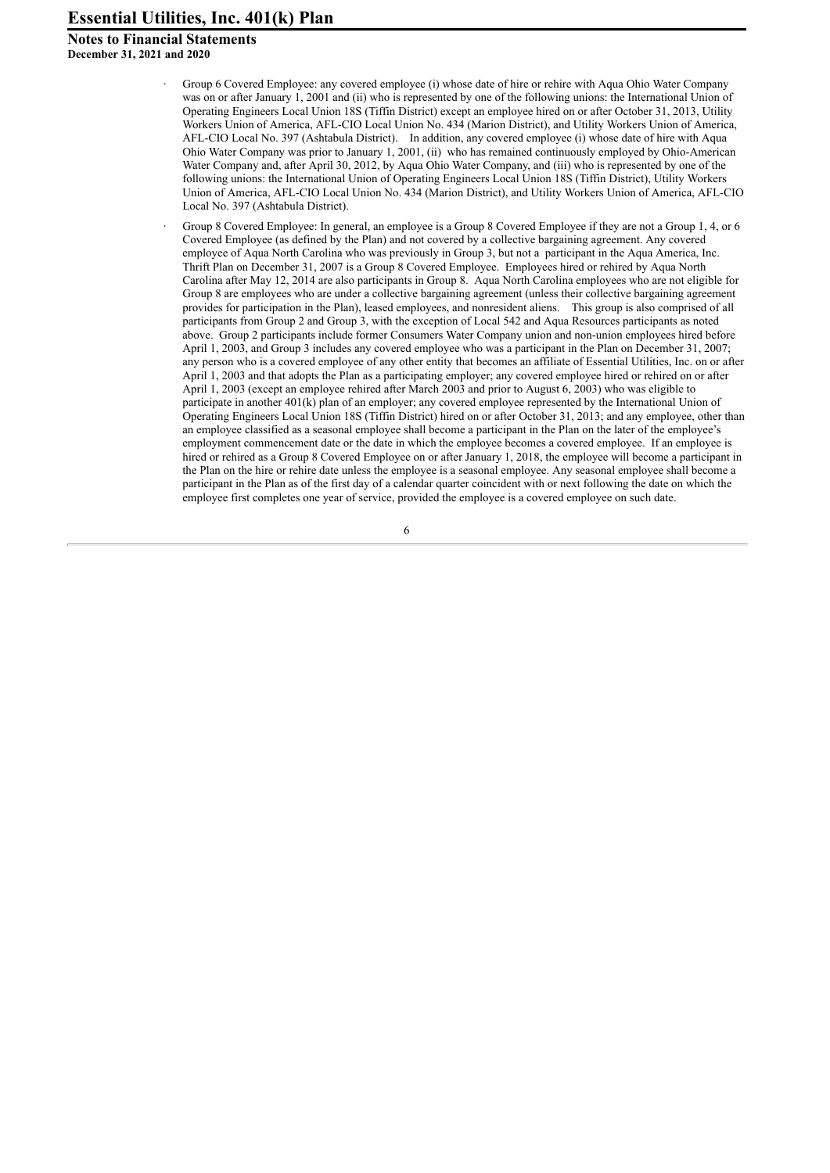**Notes to Financial Statements December 31, 2021 and 2020**

- Group 6 Covered Employee: any covered employee (i) whose date of hire or rehire with Aqua Ohio Water Company was on or after January 1, 2001 and (ii) who is represented by one of the following unions: the International Union of Operating Engineers Local Union 18S (Tiffin District) except an employee hired on or after October 31, 2013, Utility Workers Union of America, AFL-CIO Local Union No. 434 (Marion District), and Utility Workers Union of America, AFL-CIO Local No. 397 (Ashtabula District). In addition, any covered employee (i) whose date of hire with Aqua Ohio Water Company was prior to January 1, 2001, (ii) who has remained continuously employed by Ohio-American Water Company and, after April 30, 2012, by Aqua Ohio Water Company, and (iii) who is represented by one of the following unions: the International Union of Operating Engineers Local Union 18S (Tiffin District), Utility Workers Union of America, AFL-CIO Local Union No. 434 (Marion District), and Utility Workers Union of America, AFL-CIO Local No. 397 (Ashtabula District).
- Group 8 Covered Employee: In general, an employee is a Group 8 Covered Employee if they are not a Group 1, 4, or 6 Covered Employee (as defined by the Plan) and not covered by a collective bargaining agreement. Any covered employee of Aqua North Carolina who was previously in Group 3, but not a participant in the Aqua America, Inc. Thrift Plan on December 31, 2007 is a Group 8 Covered Employee. Employees hired or rehired by Aqua North Carolina after May 12, 2014 are also participants in Group 8. Aqua North Carolina employees who are not eligible for Group 8 are employees who are under a collective bargaining agreement (unless their collective bargaining agreement provides for participation in the Plan), leased employees, and nonresident aliens. This group is also comprised of all participants from Group 2 and Group 3, with the exception of Local 542 and Aqua Resources participants as noted above. Group 2 participants include former Consumers Water Company union and non-union employees hired before April 1, 2003, and Group 3 includes any covered employee who was a participant in the Plan on December 31, 2007; any person who is a covered employee of any other entity that becomes an affiliate of Essential Utilities, Inc. on or after April 1, 2003 and that adopts the Plan as a participating employer; any covered employee hired or rehired on or after April 1, 2003 (except an employee rehired after March 2003 and prior to August 6, 2003) who was eligible to participate in another 401(k) plan of an employer; any covered employee represented by the International Union of Operating Engineers Local Union 18S (Tiffin District) hired on or after October 31, 2013; and any employee, other than an employee classified as a seasonal employee shall become a participant in the Plan on the later of the employee's employment commencement date or the date in which the employee becomes a covered employee. If an employee is hired or rehired as a Group 8 Covered Employee on or after January 1, 2018, the employee will become a participant in the Plan on the hire or rehire date unless the employee is a seasonal employee. Any seasonal employee shall become a participant in the Plan as of the first day of a calendar quarter coincident with or next following the date on which the employee first completes one year of service, provided the employee is a covered employee on such date.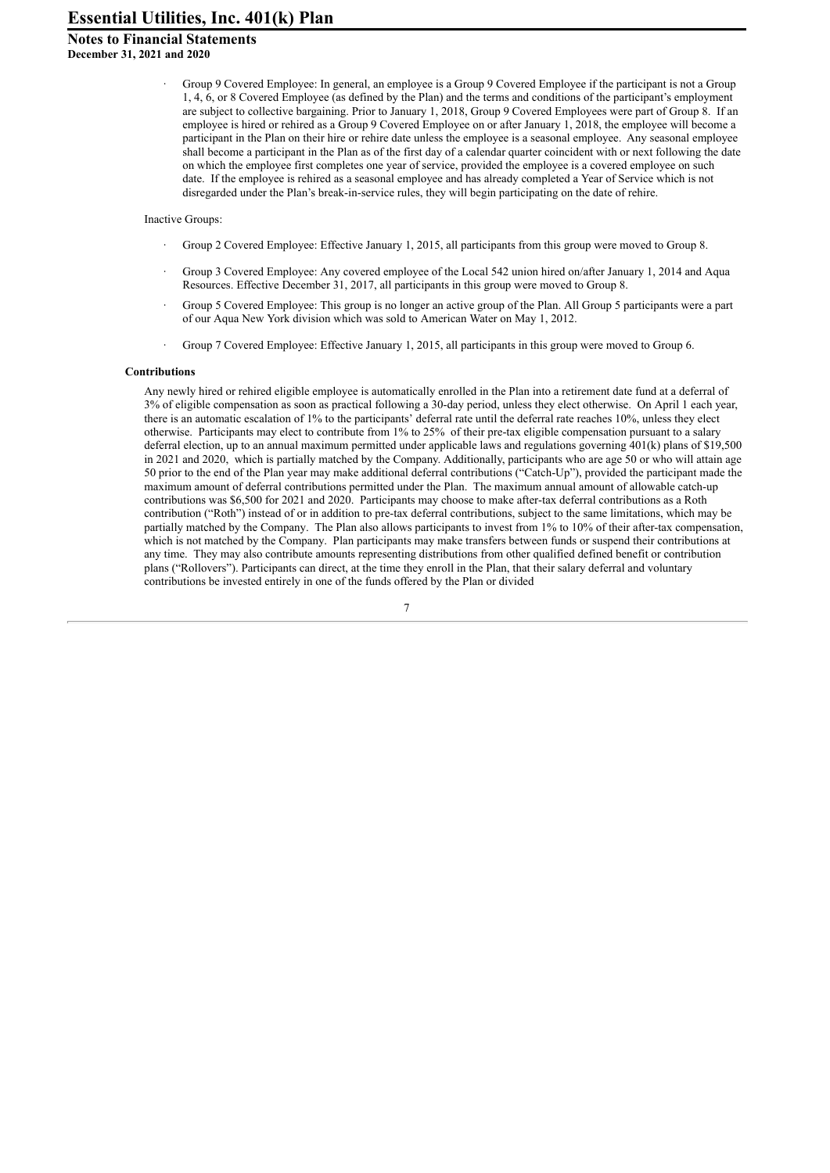**Notes to Financial Statements December 31, 2021 and 2020**

> Group 9 Covered Employee: In general, an employee is a Group 9 Covered Employee if the participant is not a Group 1, 4, 6, or 8 Covered Employee (as defined by the Plan) and the terms and conditions of the participant's employment are subject to collective bargaining. Prior to January 1, 2018, Group 9 Covered Employees were part of Group 8. If an employee is hired or rehired as a Group 9 Covered Employee on or after January 1, 2018, the employee will become a participant in the Plan on their hire or rehire date unless the employee is a seasonal employee. Any seasonal employee shall become a participant in the Plan as of the first day of a calendar quarter coincident with or next following the date on which the employee first completes one year of service, provided the employee is a covered employee on such date. If the employee is rehired as a seasonal employee and has already completed a Year of Service which is not disregarded under the Plan's break-in-service rules, they will begin participating on the date of rehire.

## Inactive Groups:

- Group 2 Covered Employee: Effective January 1, 2015, all participants from this group were moved to Group 8.
- Group 3 Covered Employee: Any covered employee of the Local 542 union hired on/after January 1, 2014 and Aqua Resources. Effective December 31, 2017, all participants in this group were moved to Group 8.
- Group 5 Covered Employee: This group is no longer an active group of the Plan. All Group 5 participants were a part of our Aqua New York division which was sold to American Water on May 1, 2012.
- Group 7 Covered Employee: Effective January 1, 2015, all participants in this group were moved to Group 6.

### **Contributions**

Any newly hired or rehired eligible employee is automatically enrolled in the Plan into a retirement date fund at a deferral of 3% of eligible compensation as soon as practical following a 30-day period, unless they elect otherwise. On April 1 each year, there is an automatic escalation of 1% to the participants' deferral rate until the deferral rate reaches 10%, unless they elect otherwise. Participants may elect to contribute from 1% to 25% of their pre-tax eligible compensation pursuant to a salary deferral election, up to an annual maximum permitted under applicable laws and regulations governing 401(k) plans of \$19,500 in 2021 and 2020, which is partially matched by the Company. Additionally, participants who are age 50 or who will attain age 50 prior to the end of the Plan year may make additional deferral contributions ("Catch-Up"), provided the participant made the maximum amount of deferral contributions permitted under the Plan. The maximum annual amount of allowable catch-up contributions was \$6,500 for 2021 and 2020. Participants may choose to make after-tax deferral contributions as a Roth contribution ("Roth") instead of or in addition to pre-tax deferral contributions, subject to the same limitations, which may be partially matched by the Company. The Plan also allows participants to invest from 1% to 10% of their after-tax compensation, which is not matched by the Company. Plan participants may make transfers between funds or suspend their contributions at any time. They may also contribute amounts representing distributions from other qualified defined benefit or contribution plans ("Rollovers"). Participants can direct, at the time they enroll in the Plan, that their salary deferral and voluntary contributions be invested entirely in one of the funds offered by the Plan or divided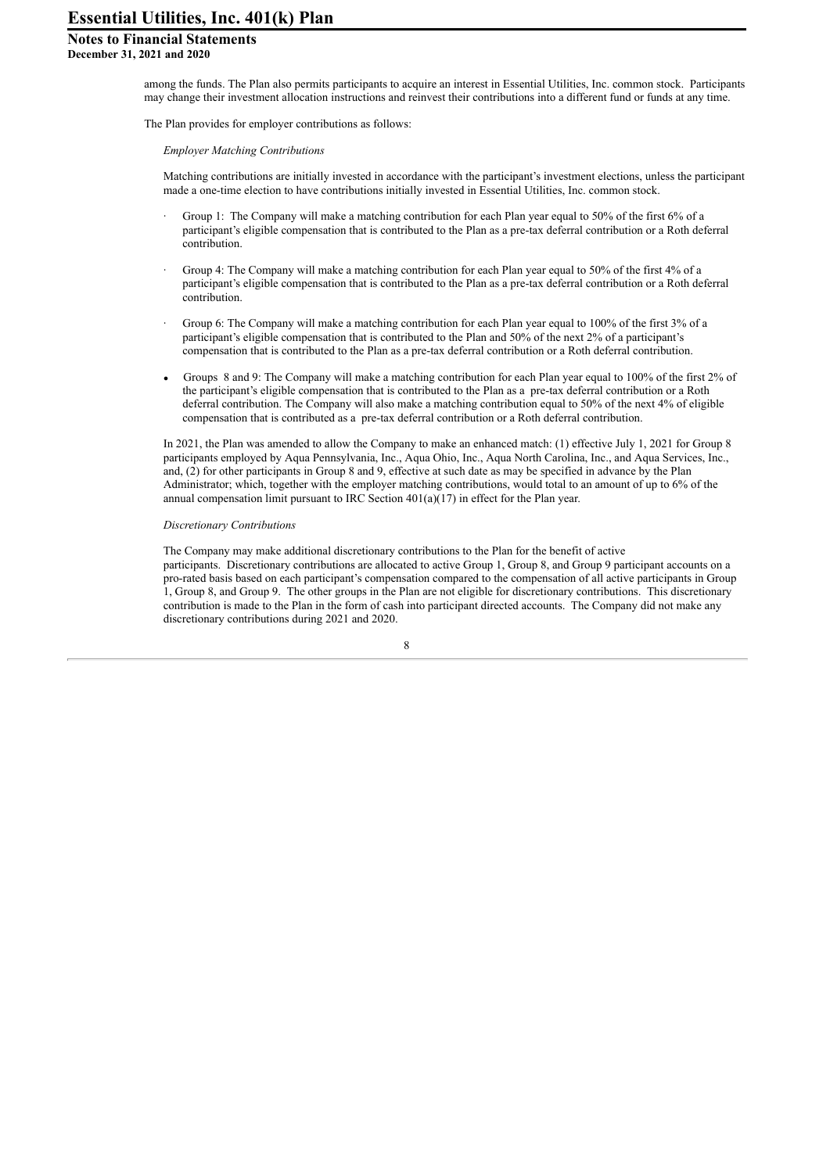**December 31, 2021 and 2020**

among the funds. The Plan also permits participants to acquire an interest in Essential Utilities, Inc. common stock. Participants may change their investment allocation instructions and reinvest their contributions into a different fund or funds at any time.

The Plan provides for employer contributions as follows:

*Employer Matching Contributions*

Matching contributions are initially invested in accordance with the participant's investment elections, unless the participant made a one-time election to have contributions initially invested in Essential Utilities, Inc. common stock.

- Group 1: The Company will make a matching contribution for each Plan year equal to 50% of the first 6% of a participant's eligible compensation that is contributed to the Plan as a pre-tax deferral contribution or a Roth deferral contribution.
- Group 4: The Company will make a matching contribution for each Plan year equal to 50% of the first 4% of a participant's eligible compensation that is contributed to the Plan as a pre-tax deferral contribution or a Roth deferral contribution.
- Group 6: The Company will make a matching contribution for each Plan year equal to 100% of the first 3% of a participant's eligible compensation that is contributed to the Plan and 50% of the next 2% of a participant's compensation that is contributed to the Plan as a pre-tax deferral contribution or a Roth deferral contribution.
- Groups 8 and 9: The Company will make a matching contribution for each Plan year equal to 100% of the first 2% of the participant's eligible compensation that is contributed to the Plan as a pre-tax deferral contribution or a Roth deferral contribution. The Company will also make a matching contribution equal to 50% of the next 4% of eligible compensation that is contributed as a pre-tax deferral contribution or a Roth deferral contribution.

In 2021, the Plan was amended to allow the Company to make an enhanced match: (1) effective July 1, 2021 for Group 8 participants employed by Aqua Pennsylvania, Inc., Aqua Ohio, Inc., Aqua North Carolina, Inc., and Aqua Services, Inc., and, (2) for other participants in Group 8 and 9, effective at such date as may be specified in advance by the Plan Administrator; which, together with the employer matching contributions, would total to an amount of up to 6% of the annual compensation limit pursuant to IRC Section  $401(a)(17)$  in effect for the Plan year.

### *Discretionary Contributions*

The Company may make additional discretionary contributions to the Plan for the benefit of active participants. Discretionary contributions are allocated to active Group 1, Group 8, and Group 9 participant accounts on a pro-rated basis based on each participant's compensation compared to the compensation of all active participants in Group 1, Group 8, and Group 9. The other groups in the Plan are not eligible for discretionary contributions. This discretionary contribution is made to the Plan in the form of cash into participant directed accounts. The Company did not make any discretionary contributions during 2021 and 2020.

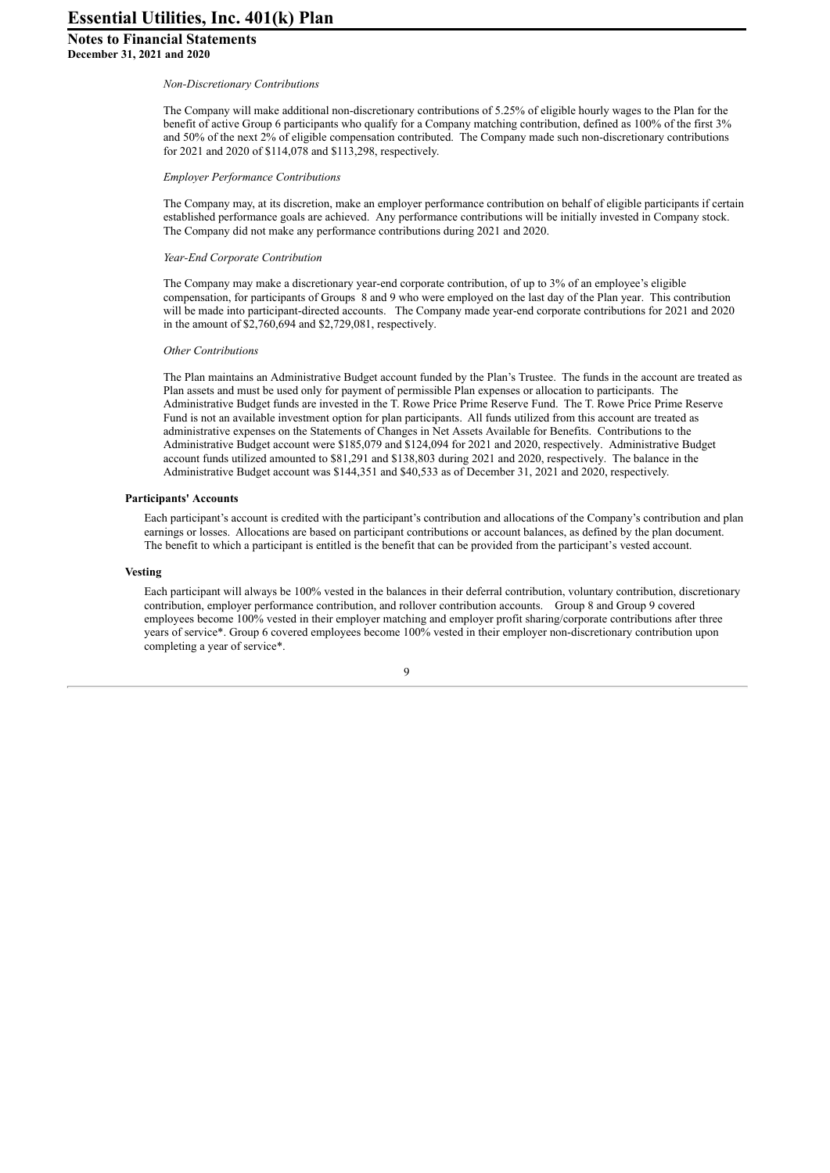**December 31, 2021 and 2020**

### *Non-Discretionary Contributions*

The Company will make additional non-discretionary contributions of 5.25% of eligible hourly wages to the Plan for the benefit of active Group 6 participants who qualify for a Company matching contribution, defined as 100% of the first 3% and 50% of the next 2% of eligible compensation contributed. The Company made such non-discretionary contributions for 2021 and 2020 of \$114,078 and \$113,298, respectively.

#### *Employer Performance Contributions*

The Company may, at its discretion, make an employer performance contribution on behalf of eligible participants if certain established performance goals are achieved. Any performance contributions will be initially invested in Company stock. The Company did not make any performance contributions during 2021 and 2020.

### *Year-End Corporate Contribution*

The Company may make a discretionary year-end corporate contribution, of up to 3% of an employee's eligible compensation, for participants of Groups 8 and 9 who were employed on the last day of the Plan year. This contribution will be made into participant-directed accounts. The Company made year-end corporate contributions for 2021 and 2020 in the amount of \$2,760,694 and \$2,729,081, respectively.

#### *Other Contributions*

The Plan maintains an Administrative Budget account funded by the Plan's Trustee. The funds in the account are treated as Plan assets and must be used only for payment of permissible Plan expenses or allocation to participants. The Administrative Budget funds are invested in the T. Rowe Price Prime Reserve Fund. The T. Rowe Price Prime Reserve Fund is not an available investment option for plan participants. All funds utilized from this account are treated as administrative expenses on the Statements of Changes in Net Assets Available for Benefits. Contributions to the Administrative Budget account were \$185,079 and \$124,094 for 2021 and 2020, respectively. Administrative Budget account funds utilized amounted to \$81,291 and \$138,803 during 2021 and 2020, respectively. The balance in the Administrative Budget account was \$144,351 and \$40,533 as of December 31, 2021 and 2020, respectively.

### **Participants' Accounts**

Each participant's account is credited with the participant's contribution and allocations of the Company's contribution and plan earnings or losses. Allocations are based on participant contributions or account balances, as defined by the plan document. The benefit to which a participant is entitled is the benefit that can be provided from the participant's vested account.

## **Vesting**

Each participant will always be 100% vested in the balances in their deferral contribution, voluntary contribution, discretionary contribution, employer performance contribution, and rollover contribution accounts. Group 8 and Group 9 covered employees become 100% vested in their employer matching and employer profit sharing/corporate contributions after three years of service\*. Group 6 covered employees become 100% vested in their employer non-discretionary contribution upon completing a year of service\*.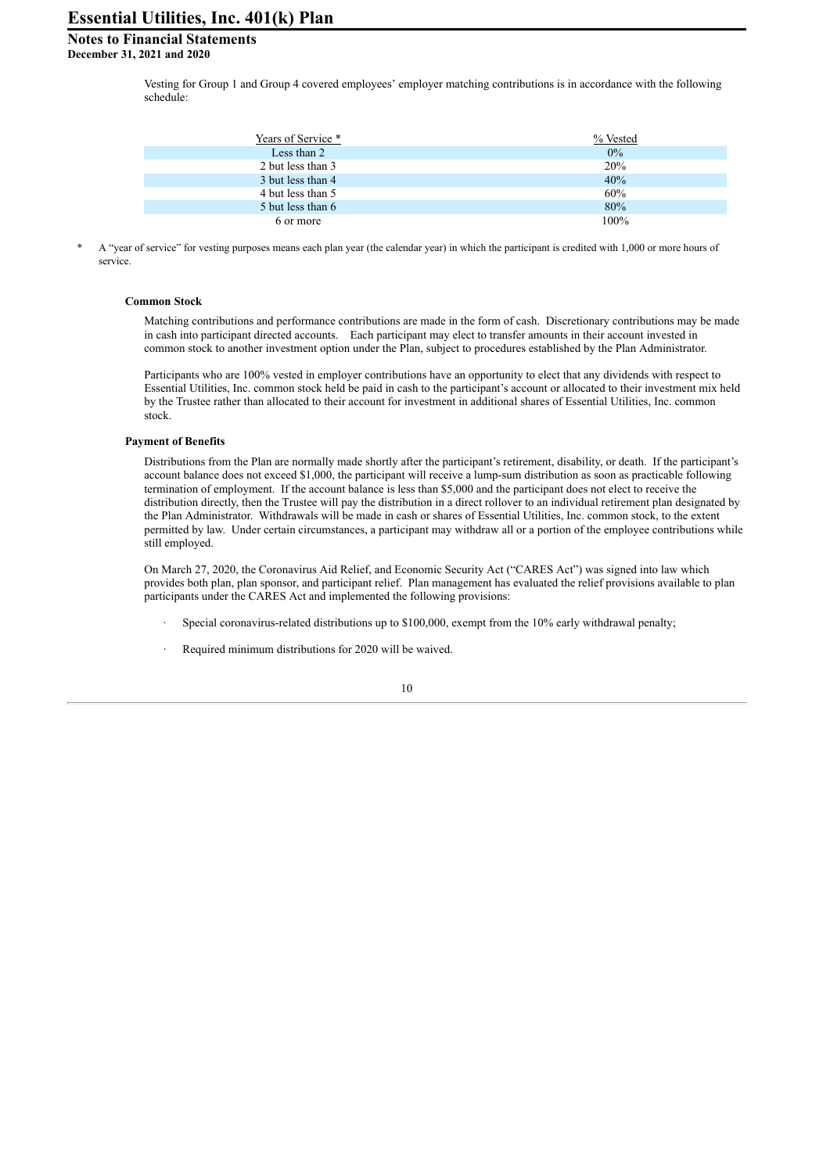# **Notes to Financial Statements**

**December 31, 2021 and 2020**

Vesting for Group 1 and Group 4 covered employees' employer matching contributions is in accordance with the following schedule:

| Years of Service * | % Vested |
|--------------------|----------|
| Less than 2        | $0\%$    |
| 2 but less than 3  | 20%      |
| 3 but less than 4  | 40%      |
| 4 but less than 5  | 60%      |
| 5 but less than 6  | 80%      |
| 6 or more          | 100%     |

A "year of service" for vesting purposes means each plan year (the calendar year) in which the participant is credited with 1,000 or more hours of service.

## **Common Stock**

Matching contributions and performance contributions are made in the form of cash. Discretionary contributions may be made in cash into participant directed accounts. Each participant may elect to transfer amounts in their account invested in common stock to another investment option under the Plan, subject to procedures established by the Plan Administrator.

Participants who are 100% vested in employer contributions have an opportunity to elect that any dividends with respect to Essential Utilities, Inc. common stock held be paid in cash to the participant's account or allocated to their investment mix held by the Trustee rather than allocated to their account for investment in additional shares of Essential Utilities, Inc. common stock.

## **Payment of Benefits**

Distributions from the Plan are normally made shortly after the participant's retirement, disability, or death. If the participant's account balance does not exceed \$1,000, the participant will receive a lump-sum distribution as soon as practicable following termination of employment. If the account balance is less than \$5,000 and the participant does not elect to receive the distribution directly, then the Trustee will pay the distribution in a direct rollover to an individual retirement plan designated by the Plan Administrator. Withdrawals will be made in cash or shares of Essential Utilities, Inc. common stock, to the extent permitted by law. Under certain circumstances, a participant may withdraw all or a portion of the employee contributions while still employed.

On March 27, 2020, the Coronavirus Aid Relief, and Economic Security Act ("CARES Act") was signed into law which provides both plan, plan sponsor, and participant relief. Plan management has evaluated the relief provisions available to plan participants under the CARES Act and implemented the following provisions:

- Special coronavirus-related distributions up to \$100,000, exempt from the 10% early withdrawal penalty;
- Required minimum distributions for 2020 will be waived.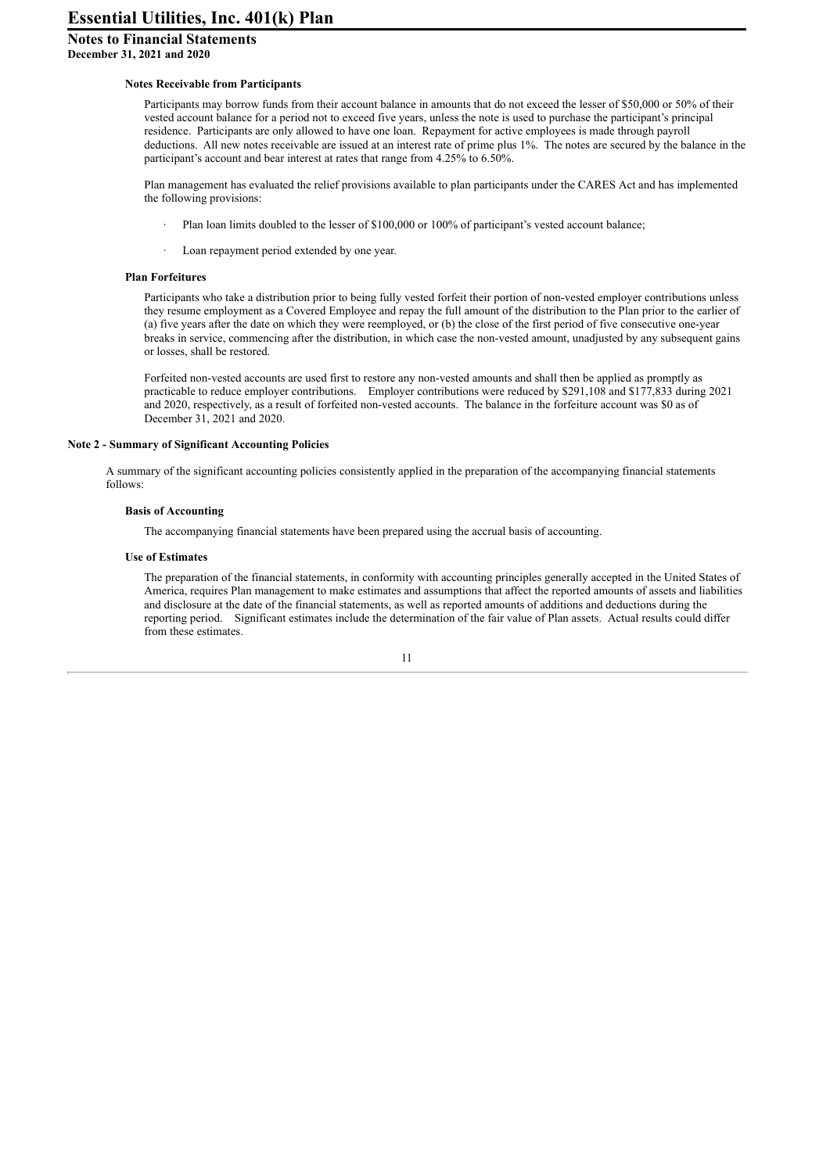**December 31, 2021 and 2020**

## **Notes Receivable from Participants**

Participants may borrow funds from their account balance in amounts that do not exceed the lesser of \$50,000 or 50% of their vested account balance for a period not to exceed five years, unless the note is used to purchase the participant's principal residence. Participants are only allowed to have one loan. Repayment for active employees is made through payroll deductions. All new notes receivable are issued at an interest rate of prime plus 1%. The notes are secured by the balance in the participant's account and bear interest at rates that range from 4.25% to 6.50%.

Plan management has evaluated the relief provisions available to plan participants under the CARES Act and has implemented the following provisions:

- Plan loan limits doubled to the lesser of \$100,000 or 100% of participant's vested account balance;
- Loan repayment period extended by one year.

## **Plan Forfeitures**

Participants who take a distribution prior to being fully vested forfeit their portion of non-vested employer contributions unless they resume employment as a Covered Employee and repay the full amount of the distribution to the Plan prior to the earlier of (a) five years after the date on which they were reemployed, or (b) the close of the first period of five consecutive one-year breaks in service, commencing after the distribution, in which case the non-vested amount, unadjusted by any subsequent gains or losses, shall be restored.

Forfeited non-vested accounts are used first to restore any non-vested amounts and shall then be applied as promptly as practicable to reduce employer contributions. Employer contributions were reduced by \$291,108 and \$177,833 during 2021 and 2020, respectively, as a result of forfeited non-vested accounts. The balance in the forfeiture account was \$0 as of December 31, 2021 and 2020.

## **Note 2 - Summary of Significant Accounting Policies**

A summary of the significant accounting policies consistently applied in the preparation of the accompanying financial statements follows:

## **Basis of Accounting**

The accompanying financial statements have been prepared using the accrual basis of accounting.

#### **Use of Estimates**

The preparation of the financial statements, in conformity with accounting principles generally accepted in the United States of America, requires Plan management to make estimates and assumptions that affect the reported amounts of assets and liabilities and disclosure at the date of the financial statements, as well as reported amounts of additions and deductions during the reporting period. Significant estimates include the determination of the fair value of Plan assets. Actual results could differ from these estimates.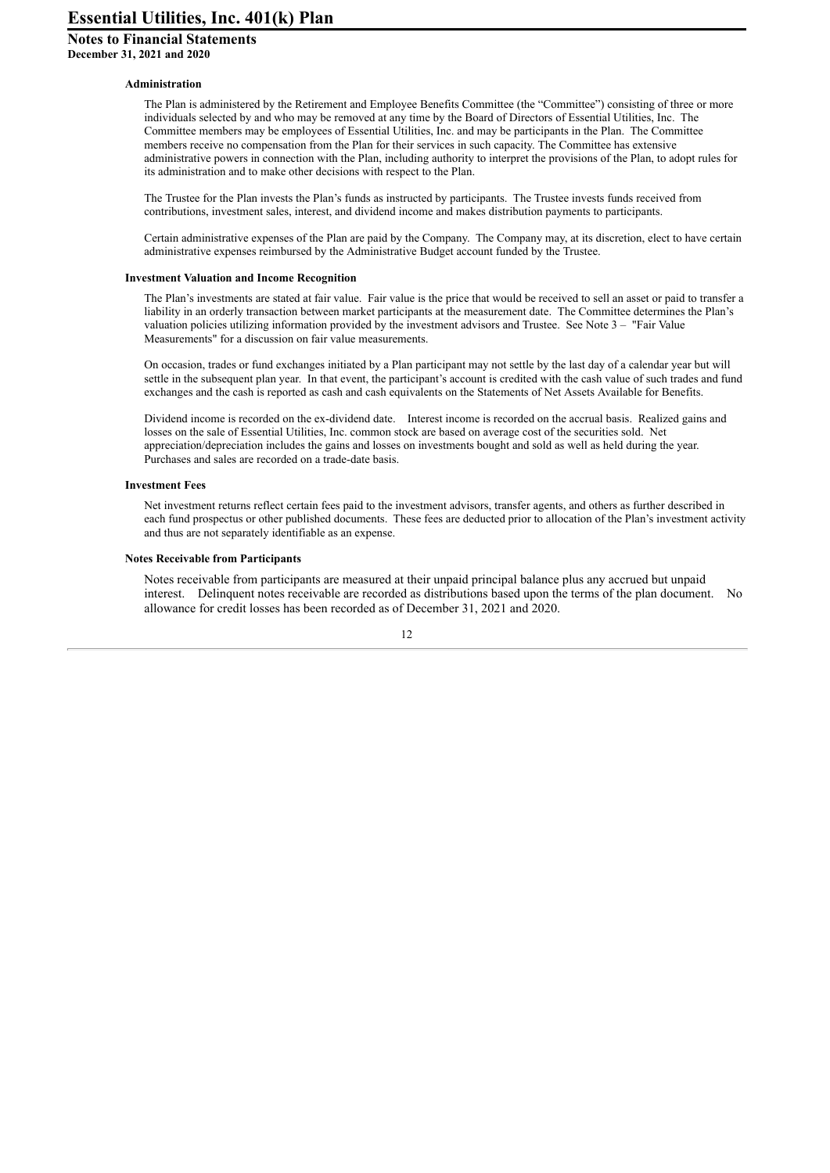**December 31, 2021 and 2020**

## **Administration**

The Plan is administered by the Retirement and Employee Benefits Committee (the "Committee") consisting of three or more individuals selected by and who may be removed at any time by the Board of Directors of Essential Utilities, Inc. The Committee members may be employees of Essential Utilities, Inc. and may be participants in the Plan. The Committee members receive no compensation from the Plan for their services in such capacity. The Committee has extensive administrative powers in connection with the Plan, including authority to interpret the provisions of the Plan, to adopt rules for its administration and to make other decisions with respect to the Plan.

The Trustee for the Plan invests the Plan's funds as instructed by participants. The Trustee invests funds received from contributions, investment sales, interest, and dividend income and makes distribution payments to participants.

Certain administrative expenses of the Plan are paid by the Company. The Company may, at its discretion, elect to have certain administrative expenses reimbursed by the Administrative Budget account funded by the Trustee.

#### **Investment Valuation and Income Recognition**

The Plan's investments are stated at fair value. Fair value is the price that would be received to sell an asset or paid to transfer a liability in an orderly transaction between market participants at the measurement date. The Committee determines the Plan's valuation policies utilizing information provided by the investment advisors and Trustee. See Note 3 – "Fair Value Measurements" for a discussion on fair value measurements.

On occasion, trades or fund exchanges initiated by a Plan participant may not settle by the last day of a calendar year but will settle in the subsequent plan year. In that event, the participant's account is credited with the cash value of such trades and fund exchanges and the cash is reported as cash and cash equivalents on the Statements of Net Assets Available for Benefits.

Dividend income is recorded on the ex-dividend date. Interest income is recorded on the accrual basis. Realized gains and losses on the sale of Essential Utilities, Inc. common stock are based on average cost of the securities sold. Net appreciation/depreciation includes the gains and losses on investments bought and sold as well as held during the year. Purchases and sales are recorded on a trade-date basis.

#### **Investment Fees**

Net investment returns reflect certain fees paid to the investment advisors, transfer agents, and others as further described in each fund prospectus or other published documents. These fees are deducted prior to allocation of the Plan's investment activity and thus are not separately identifiable as an expense.

#### **Notes Receivable from Participants**

Notes receivable from participants are measured at their unpaid principal balance plus any accrued but unpaid interest. Delinquent notes receivable are recorded as distributions based upon the terms of the plan document. No allowance for credit losses has been recorded as of December 31, 2021 and 2020.

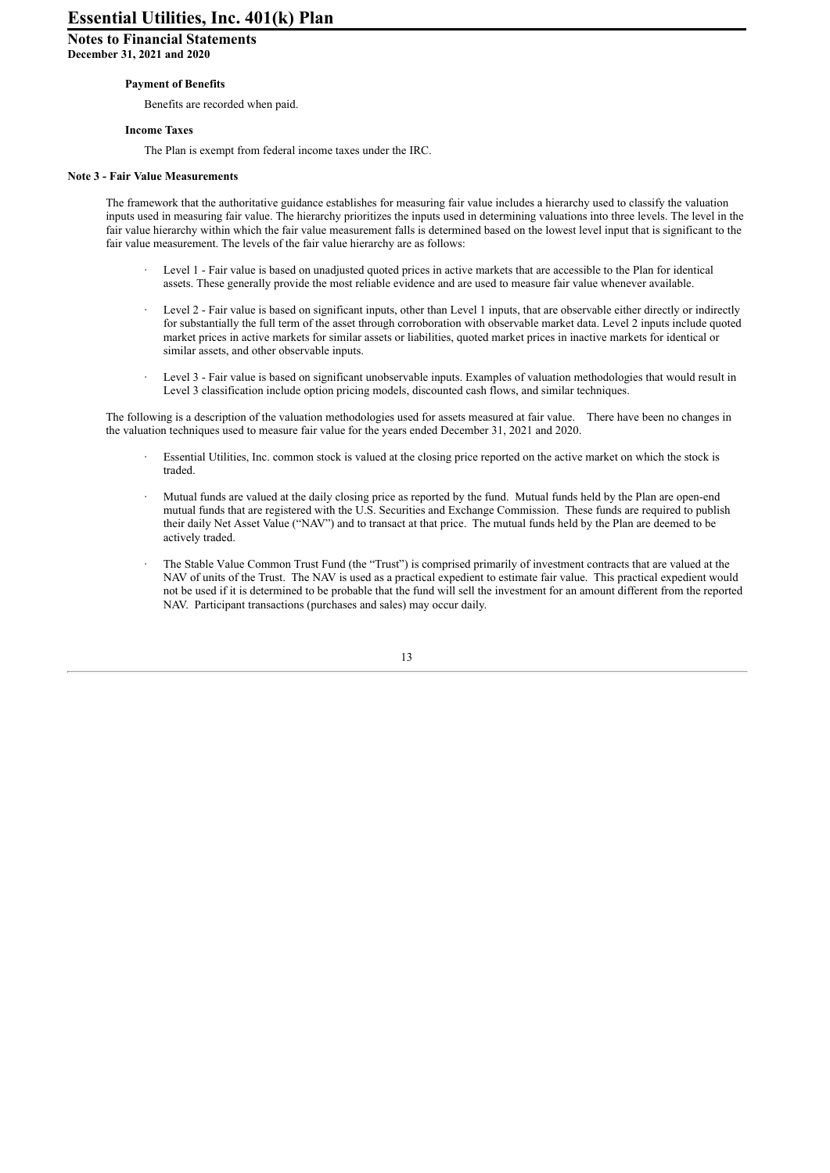## **Notes to Financial Statements**

**December 31, 2021 and 2020**

## **Payment of Benefits**

Benefits are recorded when paid.

## **Income Taxes**

The Plan is exempt from federal income taxes under the IRC.

## **Note 3 - Fair Value Measurements**

The framework that the authoritative guidance establishes for measuring fair value includes a hierarchy used to classify the valuation inputs used in measuring fair value. The hierarchy prioritizes the inputs used in determining valuations into three levels. The level in the fair value hierarchy within which the fair value measurement falls is determined based on the lowest level input that is significant to the fair value measurement. The levels of the fair value hierarchy are as follows:

- Level 1 Fair value is based on unadjusted quoted prices in active markets that are accessible to the Plan for identical assets. These generally provide the most reliable evidence and are used to measure fair value whenever available.
- Level 2 Fair value is based on significant inputs, other than Level 1 inputs, that are observable either directly or indirectly for substantially the full term of the asset through corroboration with observable market data. Level 2 inputs include quoted market prices in active markets for similar assets or liabilities, quoted market prices in inactive markets for identical or similar assets, and other observable inputs.
- Level 3 Fair value is based on significant unobservable inputs. Examples of valuation methodologies that would result in Level 3 classification include option pricing models, discounted cash flows, and similar techniques.

The following is a description of the valuation methodologies used for assets measured at fair value. There have been no changes in the valuation techniques used to measure fair value for the years ended December 31, 2021 and 2020.

- Essential Utilities, Inc. common stock is valued at the closing price reported on the active market on which the stock is traded.
- · Mutual funds are valued at the daily closing price as reported by the fund. Mutual funds held by the Plan are open-end mutual funds that are registered with the U.S. Securities and Exchange Commission. These funds are required to publish their daily Net Asset Value ("NAV") and to transact at that price. The mutual funds held by the Plan are deemed to be actively traded.
- The Stable Value Common Trust Fund (the "Trust") is comprised primarily of investment contracts that are valued at the NAV of units of the Trust. The NAV is used as a practical expedient to estimate fair value. This practical expedient would not be used if it is determined to be probable that the fund will sell the investment for an amount different from the reported NAV. Participant transactions (purchases and sales) may occur daily.

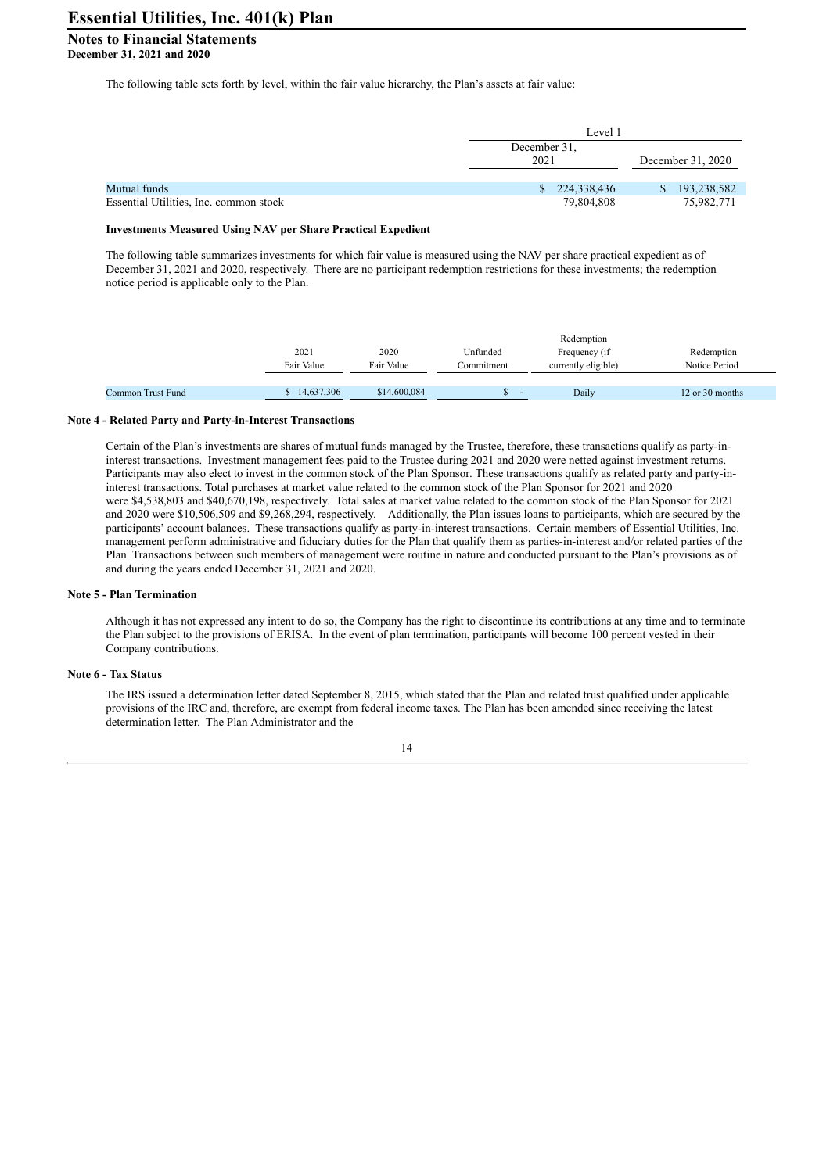## **Notes to Financial Statements**

**December 31, 2021 and 2020**

The following table sets forth by level, within the fair value hierarchy, the Plan's assets at fair value:

|                                        |              | Level 1      |  |                   |
|----------------------------------------|--------------|--------------|--|-------------------|
|                                        |              | December 31. |  |                   |
|                                        | 2021         |              |  | December 31, 2020 |
|                                        |              |              |  |                   |
| Mutual funds                           | <sup>S</sup> | 224,338,436  |  | 193,238,582       |
| Essential Utilities, Inc. common stock |              | 79,804,808   |  | 75,982,771        |

### **Investments Measured Using NAV per Share Practical Expedient**

The following table summarizes investments for which fair value is measured using the NAV per share practical expedient as of December 31, 2021 and 2020, respectively. There are no participant redemption restrictions for these investments; the redemption notice period is applicable only to the Plan.

|                   |            |              |            | Redemption          |                     |
|-------------------|------------|--------------|------------|---------------------|---------------------|
|                   | 2021       | 2020         | Unfunded   | Frequency (if       | Redemption          |
|                   | Fair Value | Fair Value   | Commitment | currently eligible) | Notice Period       |
|                   |            |              |            |                     |                     |
| Common Trust Fund | 14,637,306 | \$14,600,084 |            | Daily               | $12$ or $30$ months |

#### **Note 4 - Related Party and Party-in-Interest Transactions**

Certain of the Plan's investments are shares of mutual funds managed by the Trustee, therefore, these transactions qualify as party-ininterest transactions. Investment management fees paid to the Trustee during 2021 and 2020 were netted against investment returns. Participants may also elect to invest in the common stock of the Plan Sponsor. These transactions qualify as related party and party-ininterest transactions. Total purchases at market value related to the common stock of the Plan Sponsor for 2021 and 2020 were \$4,538,803 and \$40,670,198, respectively. Total sales at market value related to the common stock of the Plan Sponsor for 2021 and 2020 were \$10,506,509 and \$9,268,294, respectively. Additionally, the Plan issues loans to participants, which are secured by the participants' account balances. These transactions qualify as party-in-interest transactions. Certain members of Essential Utilities, Inc. management perform administrative and fiduciary duties for the Plan that qualify them as parties-in-interest and/or related parties of the Plan Transactions between such members of management were routine in nature and conducted pursuant to the Plan's provisions as of and during the years ended December 31, 2021 and 2020.

## **Note 5 - Plan Termination**

Although it has not expressed any intent to do so, the Company has the right to discontinue its contributions at any time and to terminate the Plan subject to the provisions of ERISA. In the event of plan termination, participants will become 100 percent vested in their Company contributions.

#### **Note 6 - Tax Status**

The IRS issued a determination letter dated September 8, 2015, which stated that the Plan and related trust qualified under applicable provisions of the IRC and, therefore, are exempt from federal income taxes. The Plan has been amended since receiving the latest determination letter. The Plan Administrator and the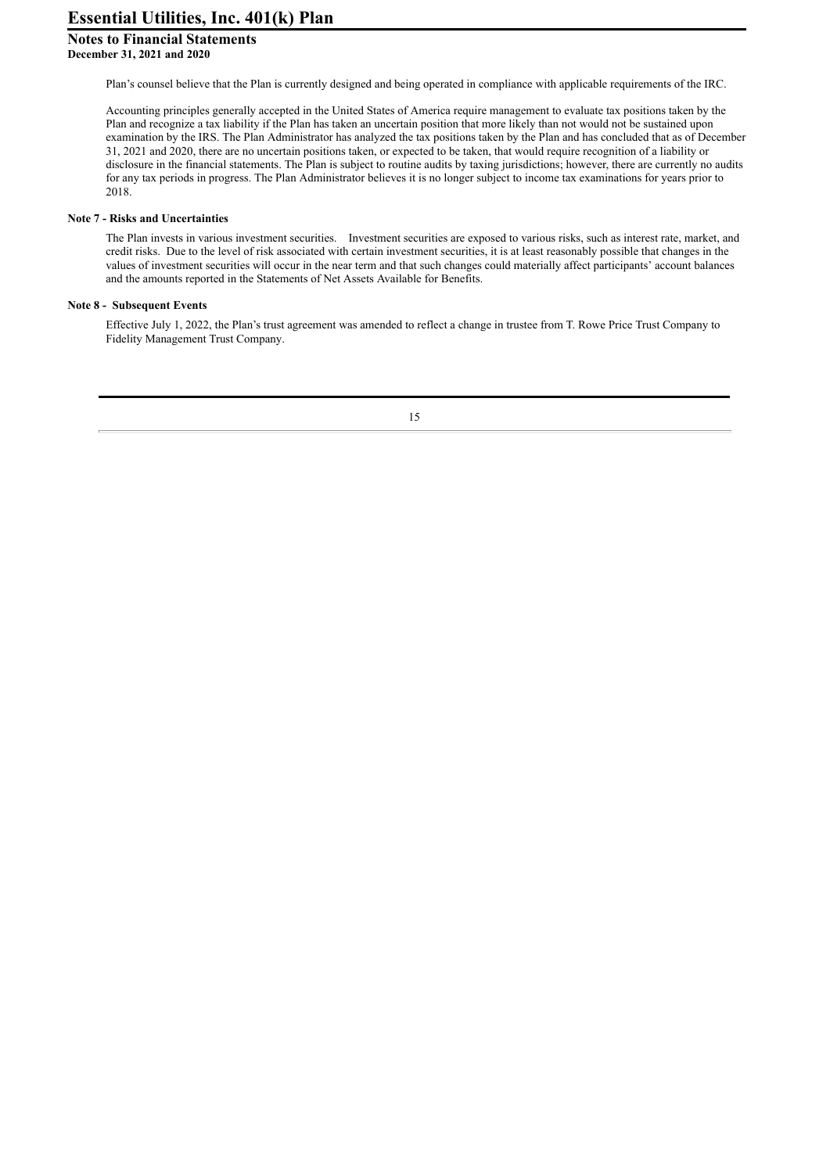**December 31, 2021 and 2020**

Plan's counsel believe that the Plan is currently designed and being operated in compliance with applicable requirements of the IRC.

Accounting principles generally accepted in the United States of America require management to evaluate tax positions taken by the Plan and recognize a tax liability if the Plan has taken an uncertain position that more likely than not would not be sustained upon examination by the IRS. The Plan Administrator has analyzed the tax positions taken by the Plan and has concluded that as of December 31, 2021 and 2020, there are no uncertain positions taken, or expected to be taken, that would require recognition of a liability or disclosure in the financial statements. The Plan is subject to routine audits by taxing jurisdictions; however, there are currently no audits for any tax periods in progress. The Plan Administrator believes it is no longer subject to income tax examinations for years prior to 2018.

## **Note 7 - Risks and Uncertainties**

The Plan invests in various investment securities. Investment securities are exposed to various risks, such as interest rate, market, and credit risks. Due to the level of risk associated with certain investment securities, it is at least reasonably possible that changes in the values of investment securities will occur in the near term and that such changes could materially affect participants' account balances and the amounts reported in the Statements of Net Assets Available for Benefits.

## **Note 8 - Subsequent Events**

Effective July 1, 2022, the Plan's trust agreement was amended to reflect a change in trustee from T. Rowe Price Trust Company to Fidelity Management Trust Company.

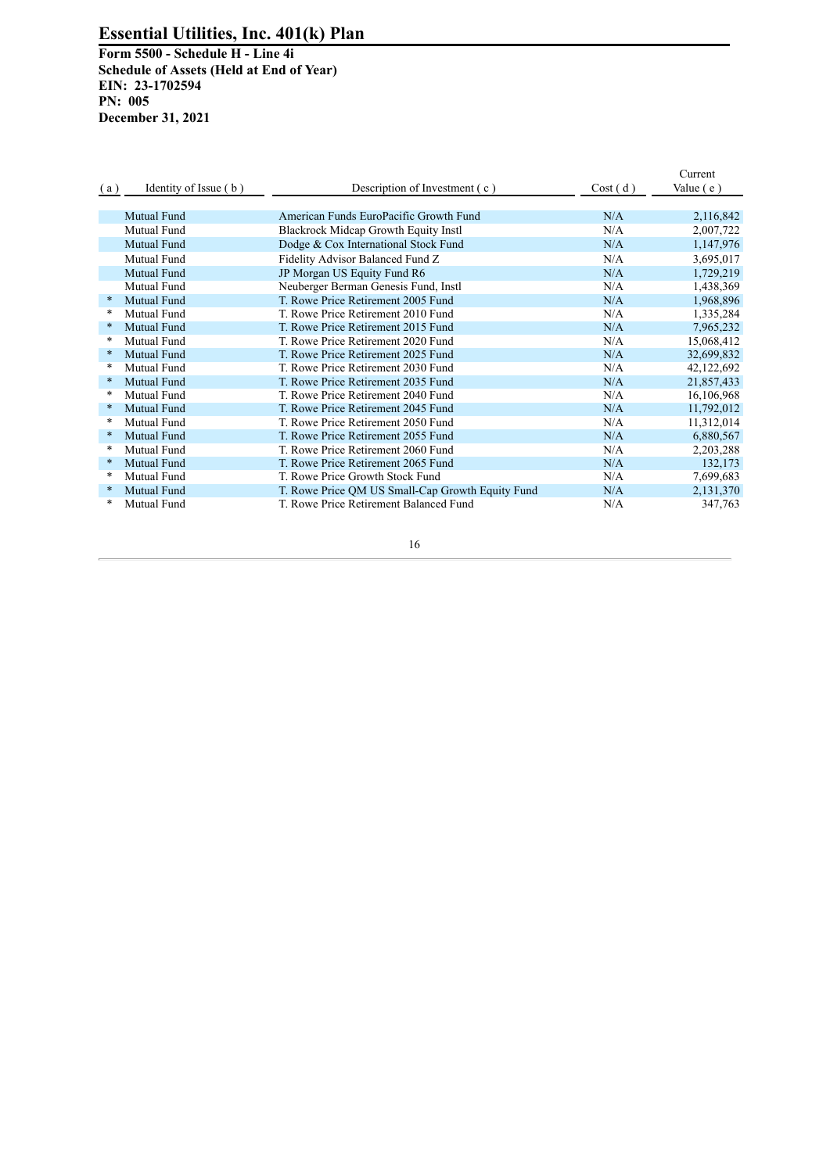<span id="page-17-0"></span>**Form 5500 - Schedule H - Line 4i Schedule of Assets (Held at End of Year) EIN: 23-1702594 PN: 005 December 31, 2021**

|     |                       |                                                  |         | Current     |
|-----|-----------------------|--------------------------------------------------|---------|-------------|
| (a) | Identity of Issue (b) | Description of Investment (c)                    | Cost(d) | Value $(e)$ |
|     |                       |                                                  |         |             |
|     | <b>Mutual Fund</b>    | American Funds EuroPacific Growth Fund           | N/A     | 2,116,842   |
|     | Mutual Fund           | Blackrock Midcap Growth Equity Instl             | N/A     | 2,007,722   |
|     | <b>Mutual Fund</b>    | Dodge & Cox International Stock Fund             | N/A     | 1,147,976   |
|     | Mutual Fund           | Fidelity Advisor Balanced Fund Z                 | N/A     | 3,695,017   |
|     | <b>Mutual Fund</b>    | JP Morgan US Equity Fund R6                      | N/A     | 1,729,219   |
|     | Mutual Fund           | Neuberger Berman Genesis Fund, Instl             | N/A     | 1,438,369   |
| *   | <b>Mutual Fund</b>    | T. Rowe Price Retirement 2005 Fund               | N/A     | 1,968,896   |
| *   | Mutual Fund           | T. Rowe Price Retirement 2010 Fund               | N/A     | 1,335,284   |
| *   | <b>Mutual Fund</b>    | T. Rowe Price Retirement 2015 Fund               | N/A     | 7,965,232   |
| ∗   | Mutual Fund           | T. Rowe Price Retirement 2020 Fund               | N/A     | 15,068,412  |
| *   | <b>Mutual Fund</b>    | T. Rowe Price Retirement 2025 Fund               | N/A     | 32,699,832  |
| *   | Mutual Fund           | T. Rowe Price Retirement 2030 Fund               | N/A     | 42,122,692  |
| *   | <b>Mutual Fund</b>    | T. Rowe Price Retirement 2035 Fund               | N/A     | 21,857,433  |
| *   | Mutual Fund           | T. Rowe Price Retirement 2040 Fund               | N/A     | 16,106,968  |
| $*$ | <b>Mutual Fund</b>    | T. Rowe Price Retirement 2045 Fund               | N/A     | 11,792,012  |
| *   | Mutual Fund           | T. Rowe Price Retirement 2050 Fund               | N/A     | 11,312,014  |
| *   | <b>Mutual Fund</b>    | T. Rowe Price Retirement 2055 Fund               | N/A     | 6,880,567   |
| *   | Mutual Fund           | T. Rowe Price Retirement 2060 Fund               | N/A     | 2,203,288   |
| $*$ | <b>Mutual Fund</b>    | T. Rowe Price Retirement 2065 Fund               | N/A     | 132,173     |
| *   | Mutual Fund           | T. Rowe Price Growth Stock Fund                  | N/A     | 7,699,683   |
| *   | <b>Mutual Fund</b>    | T. Rowe Price QM US Small-Cap Growth Equity Fund | N/A     | 2,131,370   |
| *   | Mutual Fund           | T. Rowe Price Retirement Balanced Fund           | N/A     | 347,763     |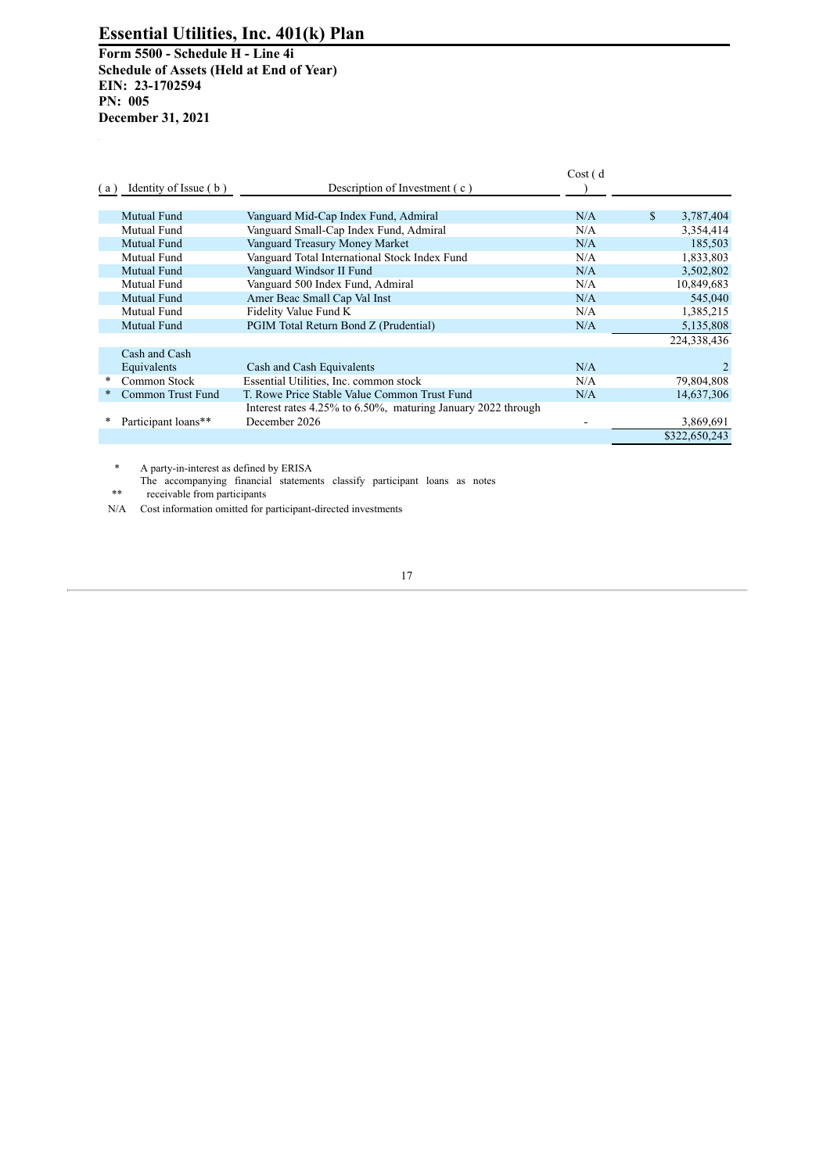**Form 5500 - Schedule H - Line 4i Schedule of Assets (Held at End of Year) EIN: 23-1702594 PN: 005 December 31, 2021**

|     |                       |                                                              | Cost (d) |    |               |
|-----|-----------------------|--------------------------------------------------------------|----------|----|---------------|
| (a) | Identity of Issue (b) | Description of Investment (c)                                |          |    |               |
|     |                       |                                                              |          |    |               |
|     | Mutual Fund           | Vanguard Mid-Cap Index Fund, Admiral                         | N/A      | S. | 3,787,404     |
|     | Mutual Fund           | Vanguard Small-Cap Index Fund, Admiral                       | N/A      |    | 3,354,414     |
|     | <b>Mutual Fund</b>    | Vanguard Treasury Money Market                               | N/A      |    | 185,503       |
|     | Mutual Fund           | Vanguard Total International Stock Index Fund                | N/A      |    | 1,833,803     |
|     | <b>Mutual Fund</b>    | Vanguard Windsor II Fund                                     | N/A      |    | 3,502,802     |
|     | Mutual Fund           | Vanguard 500 Index Fund, Admiral                             | N/A      |    | 10,849,683    |
|     | <b>Mutual Fund</b>    | Amer Beac Small Cap Val Inst                                 | N/A      |    | 545,040       |
|     | Mutual Fund           | Fidelity Value Fund K                                        | N/A      |    | 1,385,215     |
|     | Mutual Fund           | PGIM Total Return Bond Z (Prudential)                        | N/A      |    | 5,135,808     |
|     |                       |                                                              |          |    | 224,338,436   |
|     | Cash and Cash         |                                                              |          |    |               |
|     | Equivalents           | Cash and Cash Equivalents                                    | N/A      |    |               |
| ∗   | Common Stock          | Essential Utilities, Inc. common stock                       | N/A      |    | 79,804,808    |
|     | Common Trust Fund     | T. Rowe Price Stable Value Common Trust Fund                 | N/A      |    | 14,637,306    |
|     |                       | Interest rates 4.25% to 6.50%, maturing January 2022 through |          |    |               |
|     | Participant loans**   | December 2026                                                |          |    | 3,869,691     |
|     |                       |                                                              |          |    | \$322,650,243 |

\* A party-in-interest as defined by ERISA

The accompanying financial statements classify participant loans as notes

\*\* receivable from participants

N/A Cost information omitted for participant-directed investments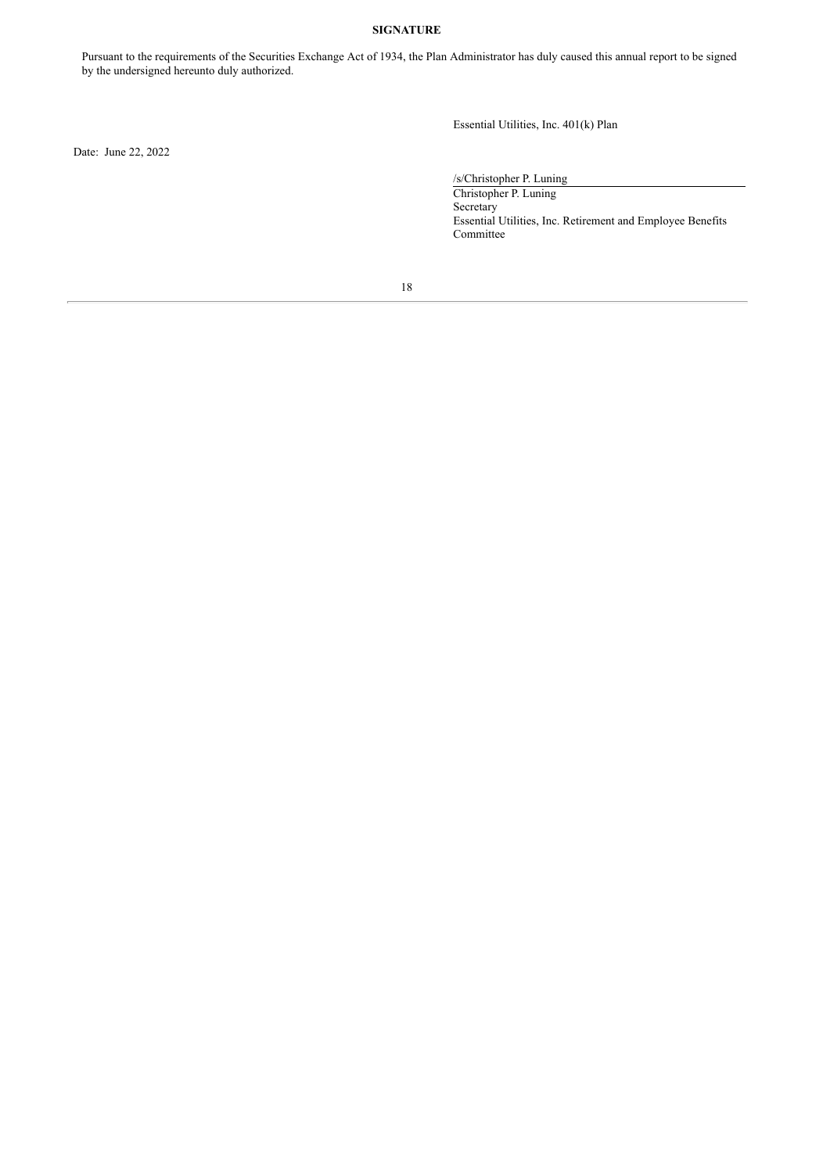## <span id="page-19-0"></span>**SIGNATURE**

Pursuant to the requirements of the Securities Exchange Act of 1934, the Plan Administrator has duly caused this annual report to be signed by the undersigned hereunto duly authorized.

Essential Utilities, Inc. 401(k) Plan

Date: June 22, 2022

/s/Christopher P. Luning

Christopher P. Luning **Secretary** Essential Utilities, Inc. Retirement and Employee Benefits Committee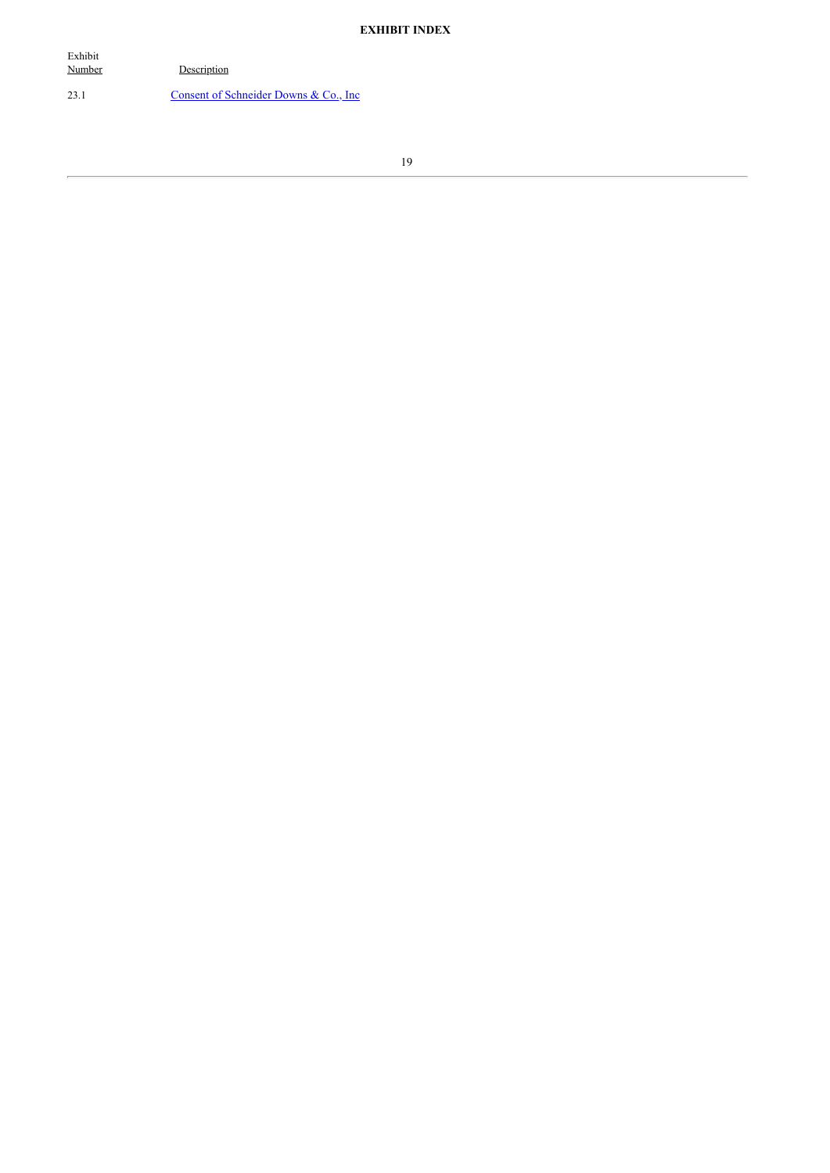**EXHIBIT INDEX**

| Exhibit<br>Number | Description                            |
|-------------------|----------------------------------------|
| 23.1              | Consent of Schneider Downs & Co., Inc. |